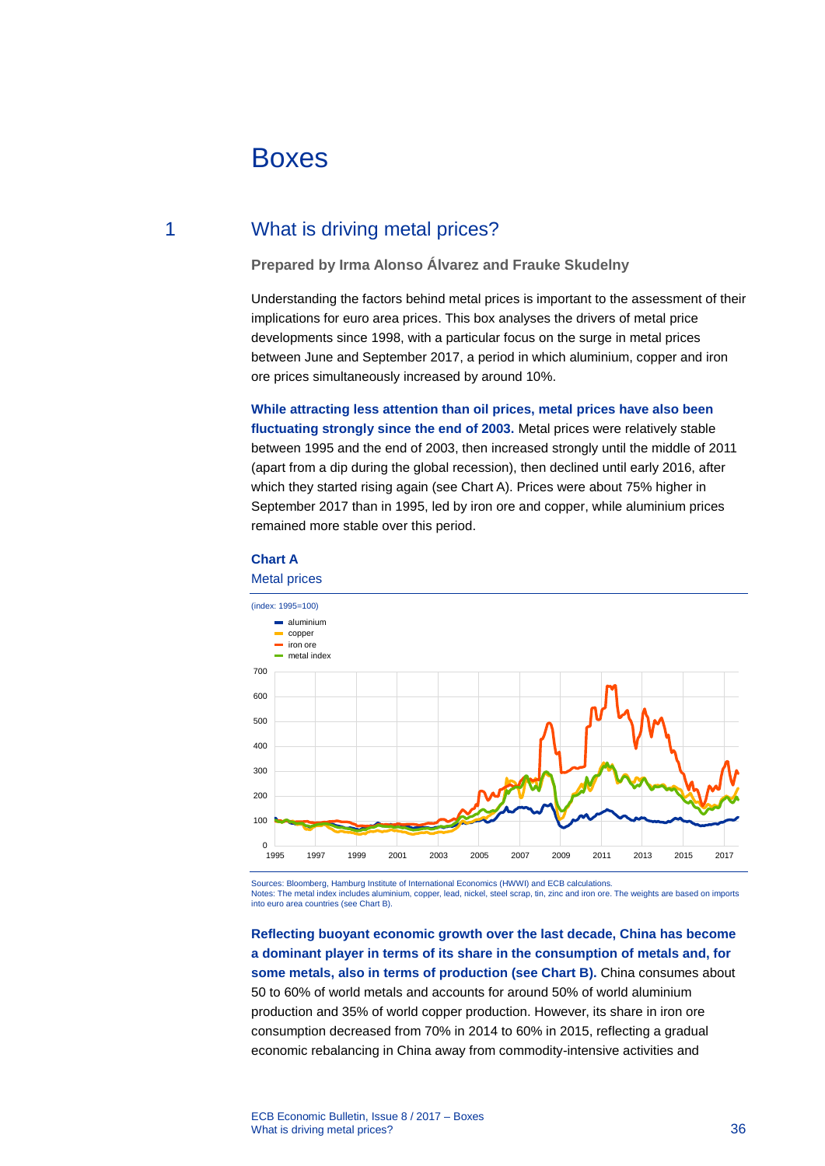# Boxes

# 1 What is driving metal prices?

## **Prepared by Irma Alonso Álvarez and Frauke Skudelny**

Understanding the factors behind metal prices is important to the assessment of their implications for euro area prices. This box analyses the drivers of metal price developments since 1998, with a particular focus on the surge in metal prices between June and September 2017, a period in which aluminium, copper and iron ore prices simultaneously increased by around 10%.

**While attracting less attention than oil prices, metal prices have also been fluctuating strongly since the end of 2003.** Metal prices were relatively stable between 1995 and the end of 2003, then increased strongly until the middle of 2011 (apart from a dip during the global recession), then declined until early 2016, after which they started rising again (see Chart A). Prices were about 75% higher in September 2017 than in 1995, led by iron ore and copper, while aluminium prices remained more stable over this period.



#### **Chart A**

Sources: Bloomberg, Hamburg Institute of International Economics (HWWI) and ECB calculations.<br>Notes: The metal index includes aluminium, copper, lead, nickel, steel scrap, tin, zinc and iron ore

.<br>In aluminium, copper, lead, nickel, steel scrap, tin, zinc and iron ore. The weights are based on imports into euro area countries (see Chart B).

**Reflecting buoyant economic growth over the last decade, China has become a dominant player in terms of its share in the consumption of metals and, for some metals, also in terms of production (see Chart B).** China consumes about 50 to 60% of world metals and accounts for around 50% of world aluminium production and 35% of world copper production. However, its share in iron ore consumption decreased from 70% in 2014 to 60% in 2015, reflecting a gradual economic rebalancing in China away from commodity-intensive activities and

ECB Economic Bulletin, Issue 8 / 2017 – Boxes What is driving metal prices? 36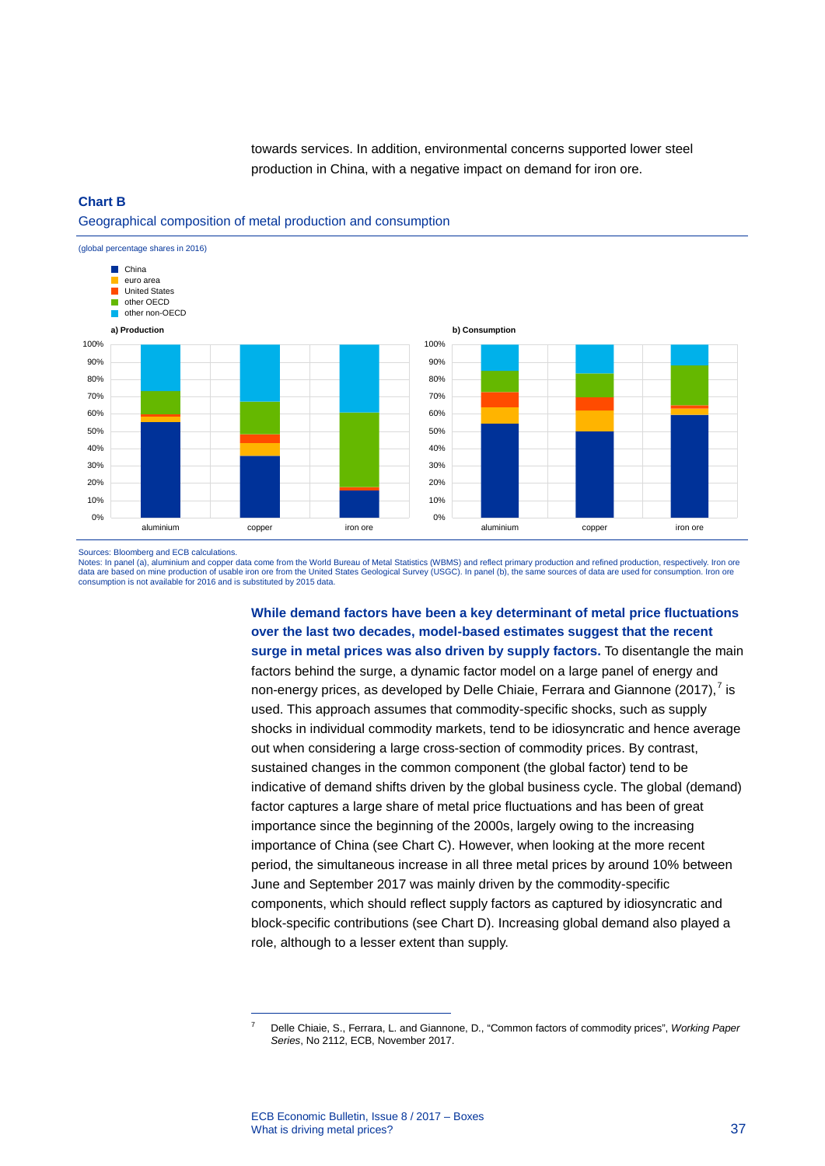towards services. In addition, environmental concerns supported lower steel production in China, with a negative impact on demand for iron ore.

#### **Chart B**

#### Geographical composition of metal production and consumption



**b) Consumption**



Sources: Bloomberg and ECB calculations.

Notes: In panel (a), aluminium and copper data come from the World Bureau of Metal Statistics (WBMS) and reflect primary production and refined production, respectively. Iron ore<br>data are based on mine production of usable consumption is not available for 2016 and is substituted by 2015 data.

> **While demand factors have been a key determinant of metal price fluctuations over the last two decades, model-based estimates suggest that the recent surge in metal prices was also driven by supply factors.** To disentangle the main

> factors behind the surge, a dynamic factor model on a large panel of energy and non-energy prices, as developed by Delle Chiaie, Ferrara and Giannone (2017),  $7$  is used. This approach assumes that commodity-specific shocks, such as supply shocks in individual commodity markets, tend to be idiosyncratic and hence average out when considering a large cross-section of commodity prices. By contrast, sustained changes in the common component (the global factor) tend to be indicative of demand shifts driven by the global business cycle. The global (demand) factor captures a large share of metal price fluctuations and has been of great importance since the beginning of the 2000s, largely owing to the increasing importance of China (see Chart C). However, when looking at the more recent period, the simultaneous increase in all three metal prices by around 10% between June and September 2017 was mainly driven by the commodity-specific components, which should reflect supply factors as captured by idiosyncratic and block-specific contributions (see Chart D). Increasing global demand also played a role, although to a lesser extent than supply.

-

<sup>7</sup> Delle Chiaie, S., Ferrara, L. and Giannone, D., "Common factors of commodity prices", *Working Paper Series*, No 2112, ECB, November 2017.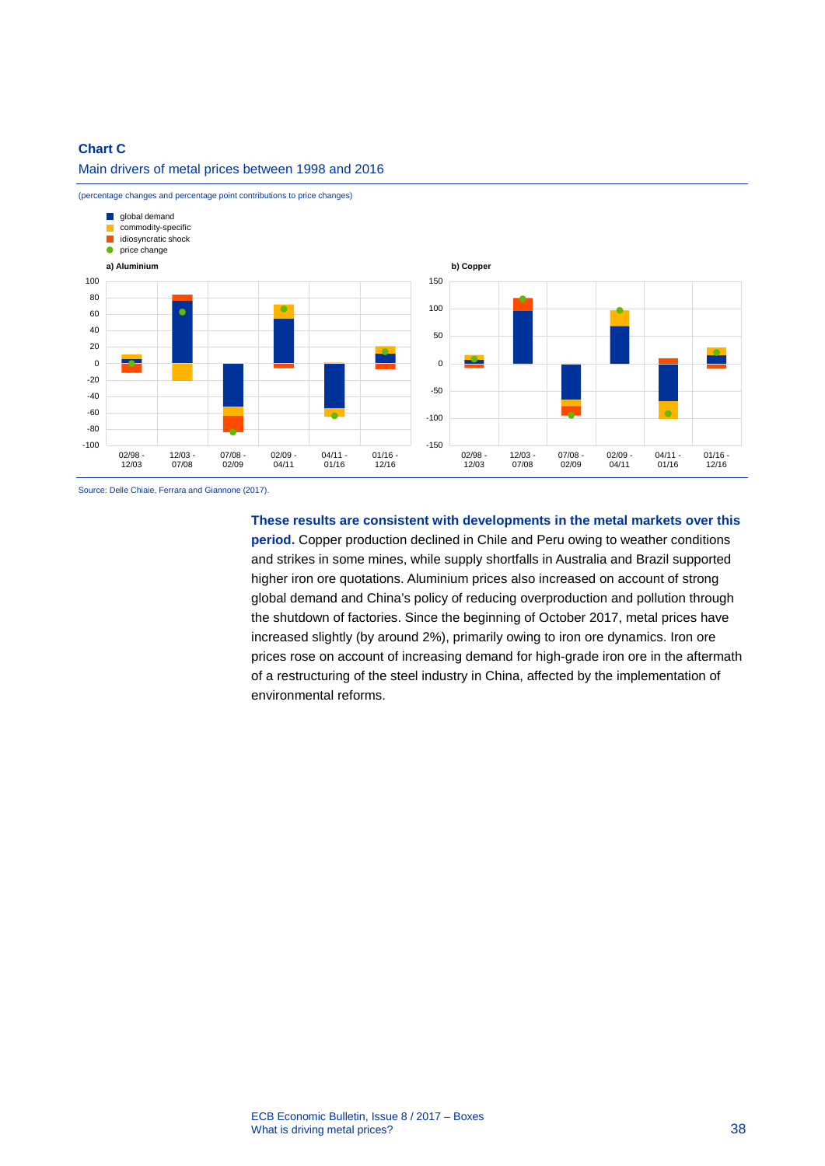### **Chart C**



(percentage changes and percentage point contributions to price changes)

Main drivers of metal prices between 1998 and 2016

Source: Delle Chiaie, Ferrara and Giannone (2017).

**These results are consistent with developments in the metal markets over this period.** Copper production declined in Chile and Peru owing to weather conditions and strikes in some mines, while supply shortfalls in Australia and Brazil supported higher iron ore quotations. Aluminium prices also increased on account of strong global demand and China's policy of reducing overproduction and pollution through the shutdown of factories. Since the beginning of October 2017, metal prices have increased slightly (by around 2%), primarily owing to iron ore dynamics. Iron ore prices rose on account of increasing demand for high-grade iron ore in the aftermath of a restructuring of the steel industry in China, affected by the implementation of environmental reforms.